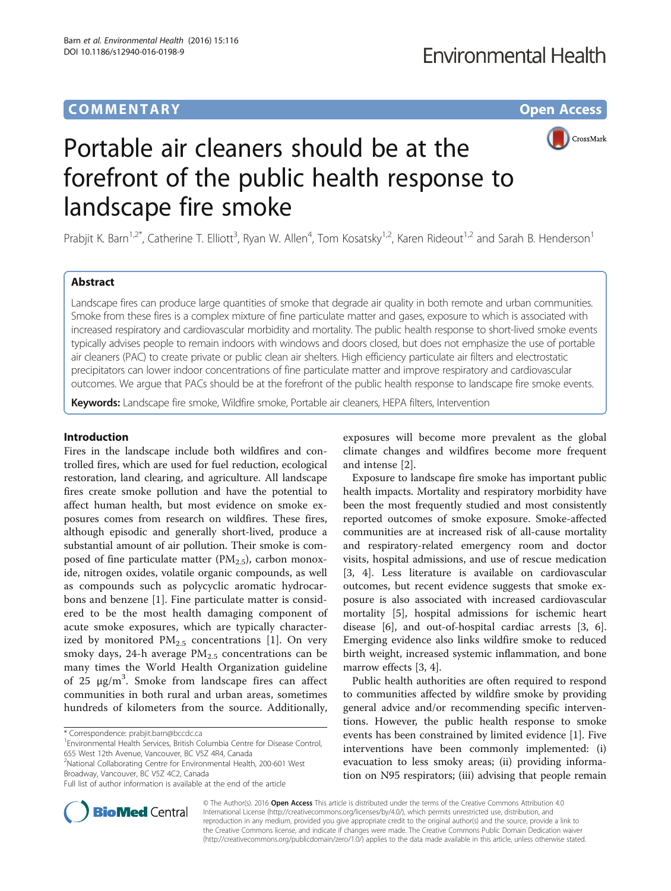# **COMMENTARY COMMENTARY Open Access**



# Portable air cleaners should be at the forefront of the public health response to landscape fire smoke

Prabjit K. Barn<sup>1,2\*</sup>, Catherine T. Elliott<sup>3</sup>, Ryan W. Allen<sup>4</sup>, Tom Kosatsky<sup>1,2</sup>, Karen Rideout<sup>1,2</sup> and Sarah B. Henderson<sup>1</sup>

# Abstract

Landscape fires can produce large quantities of smoke that degrade air quality in both remote and urban communities. Smoke from these fires is a complex mixture of fine particulate matter and gases, exposure to which is associated with increased respiratory and cardiovascular morbidity and mortality. The public health response to short-lived smoke events typically advises people to remain indoors with windows and doors closed, but does not emphasize the use of portable air cleaners (PAC) to create private or public clean air shelters. High efficiency particulate air filters and electrostatic precipitators can lower indoor concentrations of fine particulate matter and improve respiratory and cardiovascular outcomes. We argue that PACs should be at the forefront of the public health response to landscape fire smoke events.

Keywords: Landscape fire smoke, Wildfire smoke, Portable air cleaners, HEPA filters, Intervention

# Introduction

Fires in the landscape include both wildfires and controlled fires, which are used for fuel reduction, ecological restoration, land clearing, and agriculture. All landscape fires create smoke pollution and have the potential to affect human health, but most evidence on smoke exposures comes from research on wildfires. These fires, although episodic and generally short-lived, produce a substantial amount of air pollution. Their smoke is composed of fine particulate matter ( $PM_{2.5}$ ), carbon monoxide, nitrogen oxides, volatile organic compounds, as well as compounds such as polycyclic aromatic hydrocarbons and benzene [\[1](#page-6-0)]. Fine particulate matter is considered to be the most health damaging component of acute smoke exposures, which are typically characterized by monitored  $PM_{2.5}$  concentrations [[1\]](#page-6-0). On very smoky days, 24-h average  $PM_{2.5}$  concentrations can be many times the World Health Organization guideline of  $25 \mu g/m^3$ . Smoke from landscape fires can affect communities in both rural and urban areas, sometimes hundreds of kilometers from the source. Additionally,

Environmental Health Services, British Columbia Centre for Disease Control, 655 West 12th Avenue, Vancouver, BC V5Z 4R4, Canada

<sup>2</sup>National Collaborating Centre for Environmental Health, 200-601 West Broadway, Vancouver, BC V5Z 4C2, Canada

exposures will become more prevalent as the global climate changes and wildfires become more frequent and intense [[2\]](#page-6-0).

Exposure to landscape fire smoke has important public health impacts. Mortality and respiratory morbidity have been the most frequently studied and most consistently reported outcomes of smoke exposure. Smoke-affected communities are at increased risk of all-cause mortality and respiratory-related emergency room and doctor visits, hospital admissions, and use of rescue medication [[3, 4\]](#page-6-0). Less literature is available on cardiovascular outcomes, but recent evidence suggests that smoke exposure is also associated with increased cardiovascular mortality [\[5](#page-6-0)], hospital admissions for ischemic heart disease [\[6](#page-6-0)], and out-of-hospital cardiac arrests [[3, 6](#page-6-0)]. Emerging evidence also links wildfire smoke to reduced birth weight, increased systemic inflammation, and bone marrow effects [[3, 4\]](#page-6-0).

Public health authorities are often required to respond to communities affected by wildfire smoke by providing general advice and/or recommending specific interventions. However, the public health response to smoke events has been constrained by limited evidence [[1\]](#page-6-0). Five interventions have been commonly implemented: (i) evacuation to less smoky areas; (ii) providing information on N95 respirators; (iii) advising that people remain



© The Author(s). 2016 Open Access This article is distributed under the terms of the Creative Commons Attribution 4.0 International License [\(http://creativecommons.org/licenses/by/4.0/](http://creativecommons.org/licenses/by/4.0/)), which permits unrestricted use, distribution, and reproduction in any medium, provided you give appropriate credit to the original author(s) and the source, provide a link to the Creative Commons license, and indicate if changes were made. The Creative Commons Public Domain Dedication waiver [\(http://creativecommons.org/publicdomain/zero/1.0/](http://creativecommons.org/publicdomain/zero/1.0/)) applies to the data made available in this article, unless otherwise stated.

<sup>\*</sup> Correspondence: [prabjit.barn@bccdc.ca](mailto:prabjit.barn@bccdc.ca) <sup>1</sup>

Full list of author information is available at the end of the article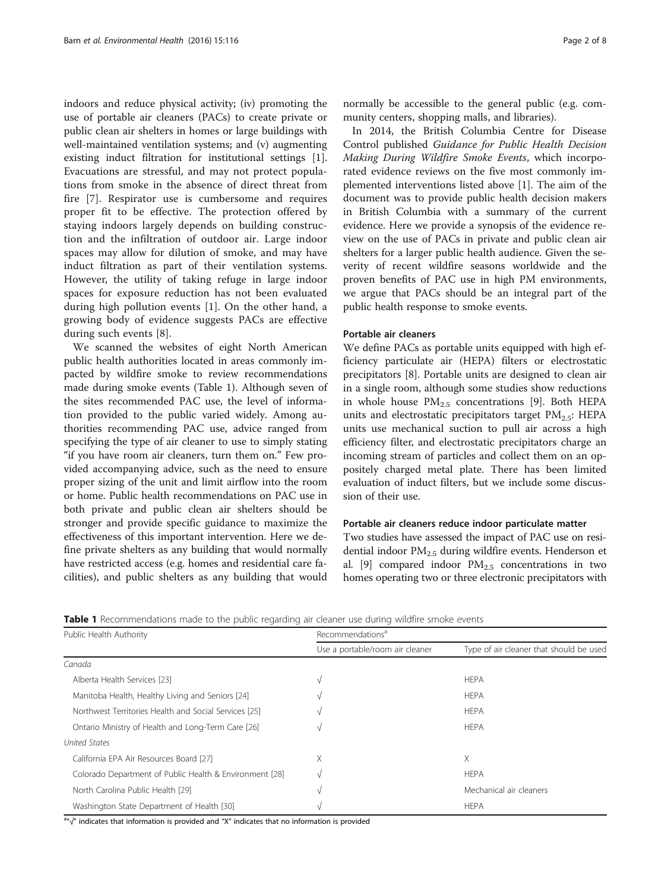indoors and reduce physical activity; (iv) promoting the use of portable air cleaners (PACs) to create private or public clean air shelters in homes or large buildings with well-maintained ventilation systems; and (v) augmenting existing induct filtration for institutional settings [\[1](#page-6-0)]. Evacuations are stressful, and may not protect populations from smoke in the absence of direct threat from fire [[7\]](#page-6-0). Respirator use is cumbersome and requires proper fit to be effective. The protection offered by staying indoors largely depends on building construction and the infiltration of outdoor air. Large indoor spaces may allow for dilution of smoke, and may have induct filtration as part of their ventilation systems. However, the utility of taking refuge in large indoor spaces for exposure reduction has not been evaluated during high pollution events [\[1](#page-6-0)]. On the other hand, a growing body of evidence suggests PACs are effective during such events [[8\]](#page-6-0).

We scanned the websites of eight North American public health authorities located in areas commonly impacted by wildfire smoke to review recommendations made during smoke events (Table 1). Although seven of the sites recommended PAC use, the level of information provided to the public varied widely. Among authorities recommending PAC use, advice ranged from specifying the type of air cleaner to use to simply stating "if you have room air cleaners, turn them on." Few provided accompanying advice, such as the need to ensure proper sizing of the unit and limit airflow into the room or home. Public health recommendations on PAC use in both private and public clean air shelters should be stronger and provide specific guidance to maximize the effectiveness of this important intervention. Here we define private shelters as any building that would normally have restricted access (e.g. homes and residential care facilities), and public shelters as any building that would

normally be accessible to the general public (e.g. community centers, shopping malls, and libraries).

In 2014, the British Columbia Centre for Disease Control published Guidance for Public Health Decision Making During Wildfire Smoke Events, which incorporated evidence reviews on the five most commonly implemented interventions listed above [\[1\]](#page-6-0). The aim of the document was to provide public health decision makers in British Columbia with a summary of the current evidence. Here we provide a synopsis of the evidence review on the use of PACs in private and public clean air shelters for a larger public health audience. Given the severity of recent wildfire seasons worldwide and the proven benefits of PAC use in high PM environments, we argue that PACs should be an integral part of the public health response to smoke events.

# Portable air cleaners

We define PACs as portable units equipped with high efficiency particulate air (HEPA) filters or electrostatic precipitators [[8\]](#page-6-0). Portable units are designed to clean air in a single room, although some studies show reductions in whole house  $PM_{2.5}$  concentrations [[9\]](#page-6-0). Both HEPA units and electrostatic precipitators target  $PM_{2.5}$ : HEPA units use mechanical suction to pull air across a high efficiency filter, and electrostatic precipitators charge an incoming stream of particles and collect them on an oppositely charged metal plate. There has been limited evaluation of induct filters, but we include some discussion of their use.

# Portable air cleaners reduce indoor particulate matter

Two studies have assessed the impact of PAC use on residential indoor PM2.5 during wildfire events. Henderson et al. [[9\]](#page-6-0) compared indoor PM<sub>2.5</sub> concentrations in two homes operating two or three electronic precipitators with

| Public Health Authority                                 | Recommendations <sup>a</sup>    |                                         |
|---------------------------------------------------------|---------------------------------|-----------------------------------------|
|                                                         | Use a portable/room air cleaner | Type of air cleaner that should be used |
| Canada                                                  |                                 |                                         |
| Alberta Health Services [23]                            | V                               | <b>HEPA</b>                             |
| Manitoba Health, Healthy Living and Seniors [24]        |                                 | <b>HEPA</b>                             |
| Northwest Territories Health and Social Services [25]   |                                 | <b>HEPA</b>                             |
| Ontario Ministry of Health and Long-Term Care [26]      |                                 | <b>HEPA</b>                             |
| <b>United States</b>                                    |                                 |                                         |
| California EPA Air Resources Board [27]                 | X                               | X                                       |
| Colorado Department of Public Health & Environment [28] | $\sqrt{ }$                      | <b>HEPA</b>                             |
| North Carolina Public Health [29]                       |                                 | Mechanical air cleaners                 |
| Washington State Department of Health [30]              |                                 | <b>HEPA</b>                             |

Table 1 Recommendations made to the public regarding air cleaner use during wildfire smoke events

a<sub>"√</sub>" indicates that information is provided and "X" indicates that no information is provided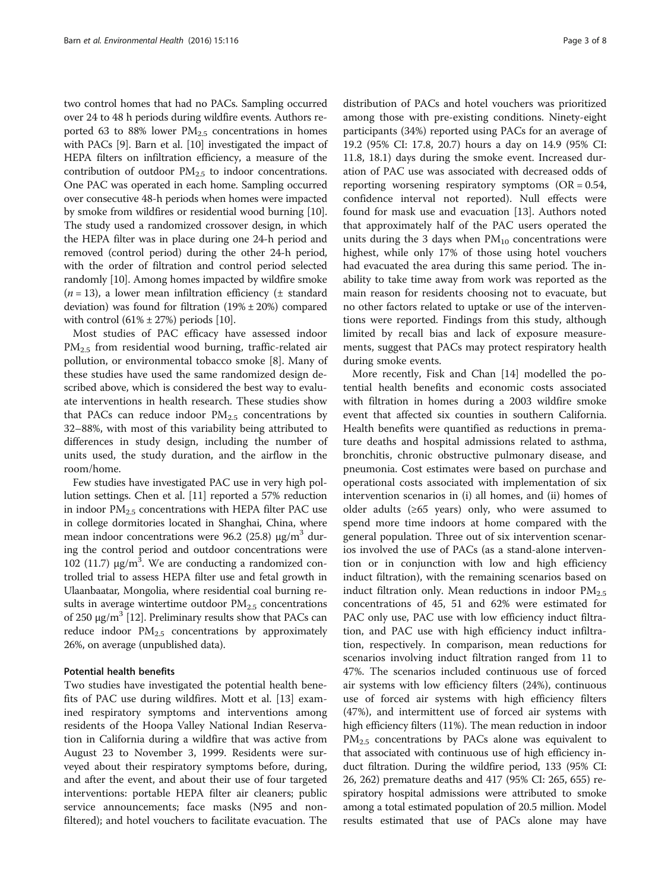two control homes that had no PACs. Sampling occurred over 24 to 48 h periods during wildfire events. Authors reported 63 to 88% lower  $PM_{2.5}$  concentrations in homes with PACs [\[9](#page-6-0)]. Barn et al. [[10](#page-6-0)] investigated the impact of HEPA filters on infiltration efficiency, a measure of the contribution of outdoor  $PM_{2.5}$  to indoor concentrations. One PAC was operated in each home. Sampling occurred over consecutive 48-h periods when homes were impacted by smoke from wildfires or residential wood burning [[10](#page-6-0)]. The study used a randomized crossover design, in which the HEPA filter was in place during one 24-h period and removed (control period) during the other 24-h period, with the order of filtration and control period selected randomly [[10](#page-6-0)]. Among homes impacted by wildfire smoke  $(n = 13)$ , a lower mean infiltration efficiency ( $\pm$  standard deviation) was found for filtration  $(19% \pm 20%)$  compared with control  $(61\% \pm 27\%)$  periods [[10](#page-6-0)].

Most studies of PAC efficacy have assessed indoor PM<sub>2.5</sub> from residential wood burning, traffic-related air pollution, or environmental tobacco smoke [\[8](#page-6-0)]. Many of these studies have used the same randomized design described above, which is considered the best way to evaluate interventions in health research. These studies show that PACs can reduce indoor  $PM_{2.5}$  concentrations by 32–88%, with most of this variability being attributed to differences in study design, including the number of units used, the study duration, and the airflow in the room/home.

Few studies have investigated PAC use in very high pollution settings. Chen et al. [[11](#page-6-0)] reported a 57% reduction in indoor  $PM<sub>2.5</sub>$  concentrations with HEPA filter PAC use in college dormitories located in Shanghai, China, where mean indoor concentrations were 96.2 (25.8)  $\mu$ g/m<sup>3</sup> during the control period and outdoor concentrations were 102 (11.7)  $\mu$ g/m<sup>3</sup>. We are conducting a randomized controlled trial to assess HEPA filter use and fetal growth in Ulaanbaatar, Mongolia, where residential coal burning results in average wintertime outdoor  $PM_{2.5}$  concentrations of 250 μg/m<sup>3</sup> [\[12\]](#page-6-0). Preliminary results show that PACs can reduce indoor  $PM_{2.5}$  concentrations by approximately 26%, on average (unpublished data).

# Potential health benefits

Two studies have investigated the potential health benefits of PAC use during wildfires. Mott et al. [\[13](#page-6-0)] examined respiratory symptoms and interventions among residents of the Hoopa Valley National Indian Reservation in California during a wildfire that was active from August 23 to November 3, 1999. Residents were surveyed about their respiratory symptoms before, during, and after the event, and about their use of four targeted interventions: portable HEPA filter air cleaners; public service announcements; face masks (N95 and nonfiltered); and hotel vouchers to facilitate evacuation. The distribution of PACs and hotel vouchers was prioritized among those with pre-existing conditions. Ninety-eight participants (34%) reported using PACs for an average of 19.2 (95% CI: 17.8, 20.7) hours a day on 14.9 (95% CI: 11.8, 18.1) days during the smoke event. Increased duration of PAC use was associated with decreased odds of reporting worsening respiratory symptoms  $(OR = 0.54,$ confidence interval not reported). Null effects were found for mask use and evacuation [\[13](#page-6-0)]. Authors noted that approximately half of the PAC users operated the units during the 3 days when  $PM_{10}$  concentrations were highest, while only 17% of those using hotel vouchers had evacuated the area during this same period. The inability to take time away from work was reported as the main reason for residents choosing not to evacuate, but no other factors related to uptake or use of the interventions were reported. Findings from this study, although limited by recall bias and lack of exposure measurements, suggest that PACs may protect respiratory health during smoke events.

More recently, Fisk and Chan [[14\]](#page-6-0) modelled the potential health benefits and economic costs associated with filtration in homes during a 2003 wildfire smoke event that affected six counties in southern California. Health benefits were quantified as reductions in premature deaths and hospital admissions related to asthma, bronchitis, chronic obstructive pulmonary disease, and pneumonia. Cost estimates were based on purchase and operational costs associated with implementation of six intervention scenarios in (i) all homes, and (ii) homes of older adults (≥65 years) only, who were assumed to spend more time indoors at home compared with the general population. Three out of six intervention scenarios involved the use of PACs (as a stand-alone intervention or in conjunction with low and high efficiency induct filtration), with the remaining scenarios based on induct filtration only. Mean reductions in indoor  $PM_{2.5}$ concentrations of 45, 51 and 62% were estimated for PAC only use, PAC use with low efficiency induct filtration, and PAC use with high efficiency induct infiltration, respectively. In comparison, mean reductions for scenarios involving induct filtration ranged from 11 to 47%. The scenarios included continuous use of forced air systems with low efficiency filters (24%), continuous use of forced air systems with high efficiency filters (47%), and intermittent use of forced air systems with high efficiency filters (11%). The mean reduction in indoor  $PM<sub>2.5</sub>$  concentrations by PACs alone was equivalent to that associated with continuous use of high efficiency induct filtration. During the wildfire period, 133 (95% CI: 26, 262) premature deaths and 417 (95% CI: 265, 655) respiratory hospital admissions were attributed to smoke among a total estimated population of 20.5 million. Model results estimated that use of PACs alone may have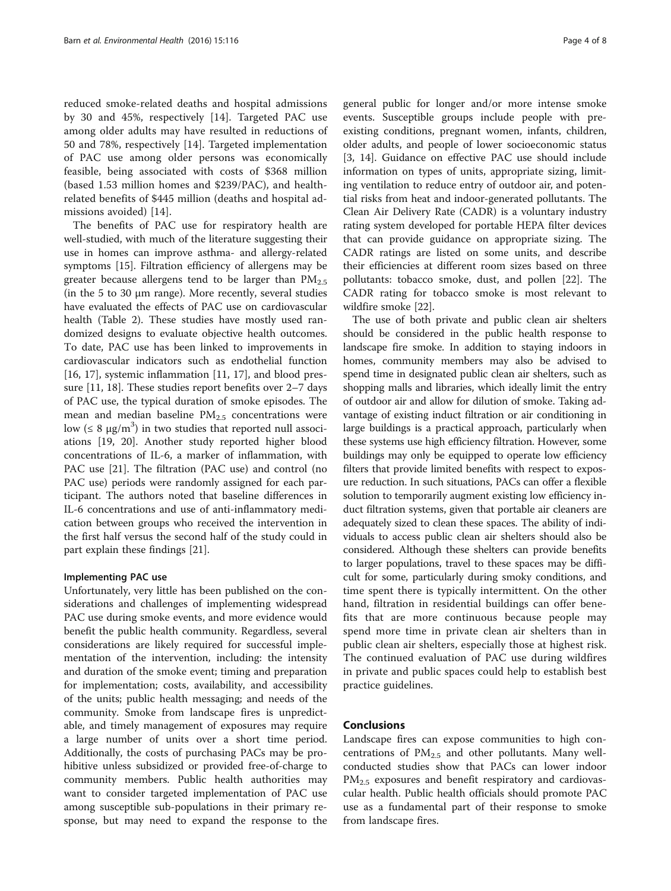reduced smoke-related deaths and hospital admissions by 30 and 45%, respectively [[14\]](#page-6-0). Targeted PAC use among older adults may have resulted in reductions of 50 and 78%, respectively [\[14](#page-6-0)]. Targeted implementation of PAC use among older persons was economically feasible, being associated with costs of \$368 million (based 1.53 million homes and \$239/PAC), and healthrelated benefits of \$445 million (deaths and hospital admissions avoided) [[14\]](#page-6-0).

The benefits of PAC use for respiratory health are well-studied, with much of the literature suggesting their use in homes can improve asthma- and allergy-related symptoms [[15](#page-6-0)]. Filtration efficiency of allergens may be greater because allergens tend to be larger than  $PM_{2.5}$ (in the 5 to 30  $\mu$ m range). More recently, several studies have evaluated the effects of PAC use on cardiovascular health (Table [2\)](#page-4-0). These studies have mostly used randomized designs to evaluate objective health outcomes. To date, PAC use has been linked to improvements in cardiovascular indicators such as endothelial function [[16, 17\]](#page-6-0), systemic inflammation [\[11, 17\]](#page-6-0), and blood pressure [[11, 18\]](#page-6-0). These studies report benefits over 2–7 days of PAC use, the typical duration of smoke episodes. The mean and median baseline  $PM_{2.5}$  concentrations were low ( $\leq 8 \text{ }\mu\text{g/m}^3$ ) in two studies that reported null associations [[19, 20](#page-6-0)]. Another study reported higher blood concentrations of IL-6, a marker of inflammation, with PAC use [[21\]](#page-6-0). The filtration (PAC use) and control (no PAC use) periods were randomly assigned for each participant. The authors noted that baseline differences in IL-6 concentrations and use of anti-inflammatory medication between groups who received the intervention in the first half versus the second half of the study could in part explain these findings [\[21\]](#page-6-0).

# Implementing PAC use

Unfortunately, very little has been published on the considerations and challenges of implementing widespread PAC use during smoke events, and more evidence would benefit the public health community. Regardless, several considerations are likely required for successful implementation of the intervention, including: the intensity and duration of the smoke event; timing and preparation for implementation; costs, availability, and accessibility of the units; public health messaging; and needs of the community. Smoke from landscape fires is unpredictable, and timely management of exposures may require a large number of units over a short time period. Additionally, the costs of purchasing PACs may be prohibitive unless subsidized or provided free-of-charge to community members. Public health authorities may want to consider targeted implementation of PAC use among susceptible sub-populations in their primary response, but may need to expand the response to the general public for longer and/or more intense smoke events. Susceptible groups include people with preexisting conditions, pregnant women, infants, children, older adults, and people of lower socioeconomic status [[3, 14](#page-6-0)]. Guidance on effective PAC use should include information on types of units, appropriate sizing, limiting ventilation to reduce entry of outdoor air, and potential risks from heat and indoor-generated pollutants. The Clean Air Delivery Rate (CADR) is a voluntary industry rating system developed for portable HEPA filter devices that can provide guidance on appropriate sizing. The CADR ratings are listed on some units, and describe their efficiencies at different room sizes based on three pollutants: tobacco smoke, dust, and pollen [\[22\]](#page-6-0). The CADR rating for tobacco smoke is most relevant to wildfire smoke [[22\]](#page-6-0).

The use of both private and public clean air shelters should be considered in the public health response to landscape fire smoke. In addition to staying indoors in homes, community members may also be advised to spend time in designated public clean air shelters, such as shopping malls and libraries, which ideally limit the entry of outdoor air and allow for dilution of smoke. Taking advantage of existing induct filtration or air conditioning in large buildings is a practical approach, particularly when these systems use high efficiency filtration. However, some buildings may only be equipped to operate low efficiency filters that provide limited benefits with respect to exposure reduction. In such situations, PACs can offer a flexible solution to temporarily augment existing low efficiency induct filtration systems, given that portable air cleaners are adequately sized to clean these spaces. The ability of individuals to access public clean air shelters should also be considered. Although these shelters can provide benefits to larger populations, travel to these spaces may be difficult for some, particularly during smoky conditions, and time spent there is typically intermittent. On the other hand, filtration in residential buildings can offer benefits that are more continuous because people may spend more time in private clean air shelters than in public clean air shelters, especially those at highest risk. The continued evaluation of PAC use during wildfires in private and public spaces could help to establish best practice guidelines.

# Conclusions

Landscape fires can expose communities to high concentrations of  $PM_{2.5}$  and other pollutants. Many wellconducted studies show that PACs can lower indoor  $PM<sub>2.5</sub>$  exposures and benefit respiratory and cardiovascular health. Public health officials should promote PAC use as a fundamental part of their response to smoke from landscape fires.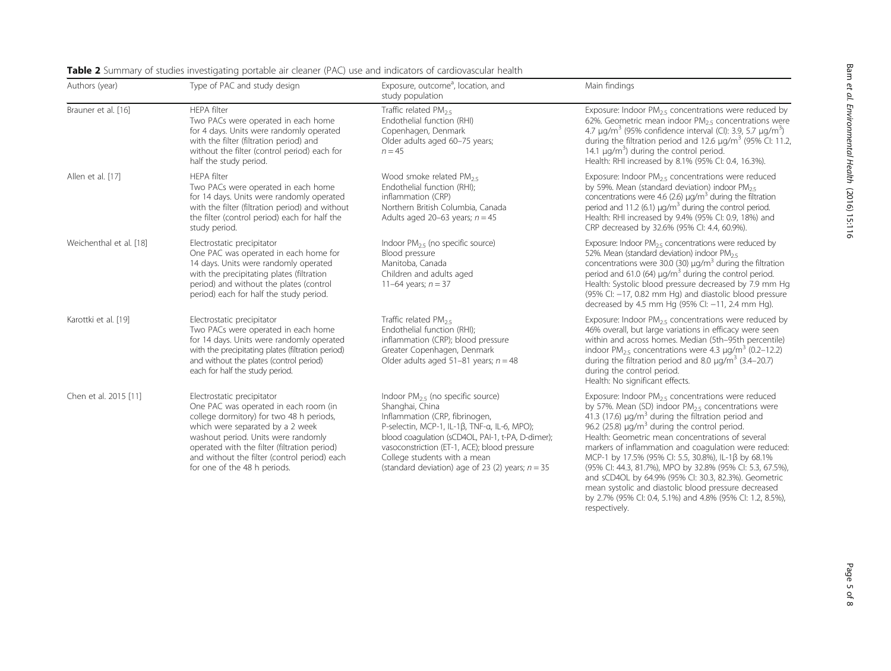| Authors (year)          | Type of PAC and study design                                                                                                                                                                                                                                                                                               | Exposure, outcome <sup>a</sup> , location, and<br>study population                                                                                                                                                                                                                                                                    | Main findings                                                                                                                                                                                                                                                                                                                                                                                                                                                                                                                           |
|-------------------------|----------------------------------------------------------------------------------------------------------------------------------------------------------------------------------------------------------------------------------------------------------------------------------------------------------------------------|---------------------------------------------------------------------------------------------------------------------------------------------------------------------------------------------------------------------------------------------------------------------------------------------------------------------------------------|-----------------------------------------------------------------------------------------------------------------------------------------------------------------------------------------------------------------------------------------------------------------------------------------------------------------------------------------------------------------------------------------------------------------------------------------------------------------------------------------------------------------------------------------|
| Brauner et al. [16]     | <b>HEPA</b> filter<br>Two PACs were operated in each home<br>for 4 days. Units were randomly operated<br>with the filter (filtration period) and<br>without the filter (control period) each for<br>half the study period.                                                                                                 | Traffic related $PM_{2.5}$<br>Endothelial function (RHI)<br>Copenhagen, Denmark<br>Older adults aged 60-75 years;<br>$n = 45$                                                                                                                                                                                                         | Exposure: Indoor $PM_{25}$ concentrations were reduced by<br>62%. Geometric mean indoor PM <sub>25</sub> concentrations were<br>4.7 $\mu$ g/m <sup>3</sup> (95% confidence interval (CI): 3.9, 5.7 $\mu$ g/m <sup>3</sup> )<br>during the filtration period and 12.6 $\mu$ g/m <sup>3</sup> (95% CI: 11.2,<br>14.1 $\mu q/m^3$ ) during the control period.<br>Health: RHI increased by 8.1% (95% CI: 0.4, 16.3%).                                                                                                                      |
| Allen et al. [17]       | <b>HEPA</b> filter<br>Two PACs were operated in each home<br>for 14 days. Units were randomly operated<br>with the filter (filtration period) and without<br>the filter (control period) each for half the<br>study period.                                                                                                | Wood smoke related $PM_{2.5}$<br>Endothelial function (RHI);<br>inflammation (CRP)<br>Northern British Columbia, Canada<br>Adults aged 20-63 years; $n = 45$                                                                                                                                                                          | Exposure: Indoor $PM_{2.5}$ concentrations were reduced<br>by 59%. Mean (standard deviation) indoor $PM_{25}$<br>concentrations were 4.6 (2.6) $\mu q/m^3$ during the filtration<br>period and 11.2 (6.1) $\mu q/m^3$ during the control period.<br>Health: RHI increased by 9.4% (95% CI: 0.9, 18%) and<br>CRP decreased by 32.6% (95% CI: 4.4, 60.9%).                                                                                                                                                                                |
| Weichenthal et al. [18] | Electrostatic precipitator<br>One PAC was operated in each home for<br>14 days. Units were randomly operated<br>with the precipitating plates (filtration<br>period) and without the plates (control<br>period) each for half the study period.                                                                            | Indoor $PM_{25}$ (no specific source)<br>Blood pressure<br>Manitoba, Canada<br>Children and adults aged<br>11-64 years; $n = 37$                                                                                                                                                                                                      | Exposure: Indoor $PM_{25}$ concentrations were reduced by<br>52%. Mean (standard deviation) indoor PM <sub>25</sub><br>concentrations were 30.0 (30) $\mu q/m^3$ during the filtration<br>period and 61.0 (64) $\mu q/m^3$ during the control period.<br>Health: Systolic blood pressure decreased by 7.9 mm Hg<br>(95% CI: -17, 0.82 mm Hg) and diastolic blood pressure<br>decreased by 4.5 mm Hg (95% CI: -11, 2.4 mm Hg).                                                                                                           |
| Karottki et al. [19]    | Electrostatic precipitator<br>Two PACs were operated in each home<br>for 14 days. Units were randomly operated<br>with the precipitating plates (filtration period)<br>and without the plates (control period)<br>each for half the study period.                                                                          | Traffic related $PM_{2.5}$<br>Endothelial function (RHI);<br>inflammation (CRP); blood pressure<br>Greater Copenhagen, Denmark<br>Older adults aged 51-81 years; $n = 48$                                                                                                                                                             | Exposure: Indoor $PM_{2.5}$ concentrations were reduced by<br>46% overall, but large variations in efficacy were seen<br>within and across homes. Median (5th-95th percentile)<br>indoor PM <sub>25</sub> concentrations were 4.3 $\mu$ g/m <sup>3</sup> (0.2–12.2)<br>during the filtration period and 8.0 $\mu$ g/m <sup>3</sup> (3.4-20.7)<br>during the control period.<br>Health: No significant effects.                                                                                                                          |
| Chen et al. 2015 [11]   | Electrostatic precipitator<br>One PAC was operated in each room (in<br>college dormitory) for two 48 h periods,<br>which were separated by a 2 week<br>washout period. Units were randomly<br>operated with the filter (filtration period)<br>and without the filter (control period) each<br>for one of the 48 h periods. | Indoor $PM_{25}$ (no specific source)<br>Shanghai, China<br>Inflammation (CRP, fibrinogen,<br>P-selectin, MCP-1, IL-1ß, TNF-a, IL-6, MPO);<br>blood coaqulation (sCD4OL, PAI-1, t-PA, D-dimer);<br>vasoconstriction (ET-1, ACE); blood pressure<br>College students with a mean<br>(standard deviation) age of 23 (2) years; $n = 35$ | Exposure: Indoor $PM_{25}$ concentrations were reduced<br>by 57%. Mean (SD) indoor $PM_{2.5}$ concentrations were<br>41.3 (17.6) $\mu$ g/m <sup>3</sup> during the filtration period and<br>96.2 (25.8) $\mu q/m^3$ during the control period.<br>Health: Geometric mean concentrations of several<br>markers of inflammation and coagulation were reduced:<br>MCP-1 by 17.5% (95% Cl: 5.5, 30.8%), IL-1β by 68.1%<br>(95% Cl: 44.3, 81.7%), MPO by 32.8% (95% Cl: 5.3, 67.5%),<br>and sCD4OL by 64.9% (95% Cl: 30.3, 82.3%). Geometric |

<span id="page-4-0"></span>Table 2 Summary of studies investigating portable air cleaner (PAC) use and indicators of cardiovascular health

mean systolic and diastolic blood pressure decreased by 2.7% (95% CI: 0.4, 5.1%) and 4.8% (95% CI: 1.2, 8.5%),

respectively.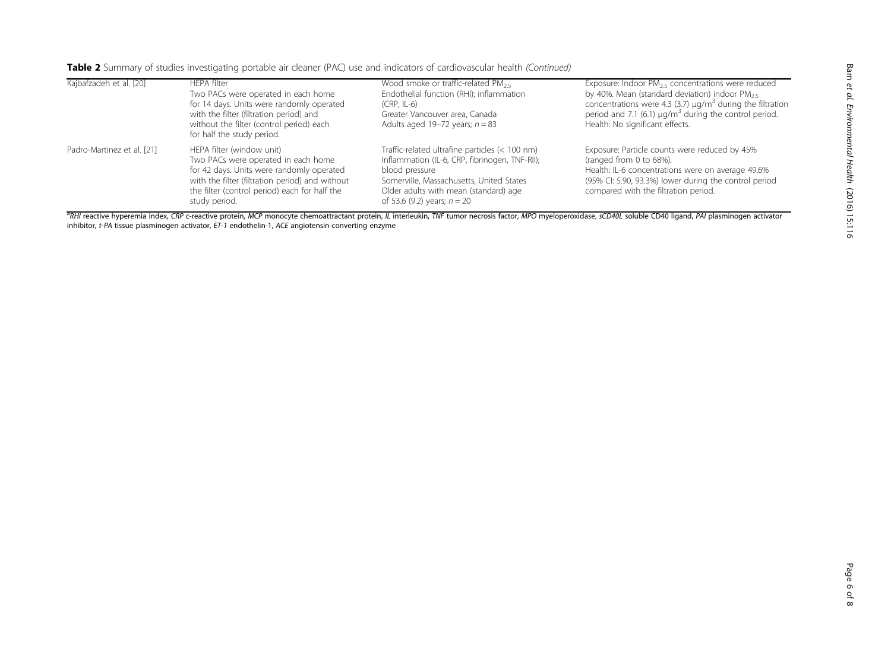Table 2 Summary of studies investigating portable air cleaner (PAC) use and indicators of cardiovascular health (Continued)

| Kajbafzadeh et al. [20]    | <b>HFPA</b> filter<br>Two PACs were operated in each home<br>for 14 days. Units were randomly operated<br>with the filter (filtration period) and<br>without the filter (control period) each<br>for half the study period.        | Wood smoke or traffic-related $PM_{2.5}$<br>Endothelial function (RHI); inflammation<br>$(CRP, IL-6)$<br>Greater Vancouver area, Canada<br>Adults aged 19-72 years; $n = 83$                                                             | Exposure: Indoor $PM_{25}$ concentrations were reduced<br>by 40%. Mean (standard deviation) indoor $PM_{25}$<br>concentrations were 4.3 (3.7) $\mu q/m^3$ during the filtration<br>period and 7.1 (6.1) $\mu q/m^3$ during the control period.<br>Health: No significant effects. |
|----------------------------|------------------------------------------------------------------------------------------------------------------------------------------------------------------------------------------------------------------------------------|------------------------------------------------------------------------------------------------------------------------------------------------------------------------------------------------------------------------------------------|-----------------------------------------------------------------------------------------------------------------------------------------------------------------------------------------------------------------------------------------------------------------------------------|
| Padro-Martinez et al. [21] | HEPA filter (window unit)<br>Two PACs were operated in each home<br>for 42 days. Units were randomly operated<br>with the filter (filtration period) and without<br>the filter (control period) each for half the<br>study period. | Traffic-related ultrafine particles (< 100 nm)<br>Inflammation (IL-6, CRP, fibrinogen, TNF-RII);<br>blood pressure<br>Somerville, Massachusetts, United States<br>Older adults with mean (standard) age<br>of 53.6 (9.2) years; $n = 20$ | Exposure: Particle counts were reduced by 45%<br>(ranged from 0 to 68%).<br>Health: IL-6 concentrations were on average 49.6%<br>(95% CI: 5.90, 93.3%) lower during the control period<br>compared with the filtration period.                                                    |

<sup>a</sup>RHI reactive hyperemia index, CRP c-reactive protein, MCP monocyte chemoattractant protein, IL interleukin, TNF tumor necrosis factor, MPO myeloperoxidase, sCD40L soluble CD40 ligand, PAI plasminogen activator inhibitor, t-PA tissue plasminogen activator, ET-1 endothelin-1, ACE angiotensin-converting enzyme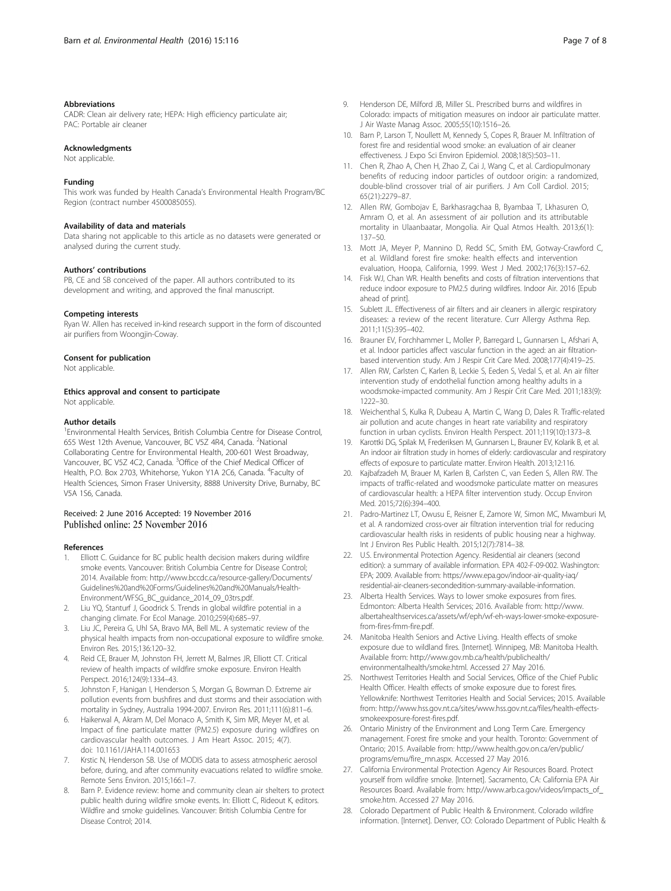# <span id="page-6-0"></span>Abbreviations

CADR: Clean air delivery rate; HEPA: High efficiency particulate air; PAC: Portable air cleaner

### Acknowledgments

Not applicable

#### Funding

This work was funded by Health Canada's Environmental Health Program/BC Region (contract number 4500085055).

## Availability of data and materials

Data sharing not applicable to this article as no datasets were generated or analysed during the current study.

## Authors' contributions

PB, CE and SB conceived of the paper. All authors contributed to its development and writing, and approved the final manuscript.

#### Competing interests

Ryan W. Allen has received in-kind research support in the form of discounted air purifiers from Woongjin-Coway.

#### Consent for publication

Not applicable.

#### Ethics approval and consent to participate Not applicable.

#### Author details

<sup>1</sup> Environmental Health Services, British Columbia Centre for Disease Control, 655 West 12th Avenue, Vancouver, BC V5Z 4R4, Canada. <sup>2</sup>National Collaborating Centre for Environmental Health, 200-601 West Broadway, Vancouver, BC V5Z 4C2, Canada. <sup>3</sup>Office of the Chief Medical Officer of Health, P.O. Box 2703, Whitehorse, Yukon Y1A 2C6, Canada. <sup>4</sup>Faculty of Health Sciences, Simon Fraser University, 8888 University Drive, Burnaby, BC V5A 1S6, Canada.

# Received: 2 June 2016 Accepted: 19 November 2016 Published online: 25 November 2016

# References

- 1. Elliott C. Guidance for BC public health decision makers during wildfire smoke events. Vancouver: British Columbia Centre for Disease Control; 2014. Available from: [http://www.bccdc.ca/resource-gallery/Documents/](http://www.bccdc.ca/resource-gallery/Documents/Guidelines%20and%20Forms/Guidelines%20and%20Manuals/Health-Environment/WFSG_BC_guidance_2014_09_03trs.pdf) [Guidelines%20and%20Forms/Guidelines%20and%20Manuals/Health-](http://www.bccdc.ca/resource-gallery/Documents/Guidelines%20and%20Forms/Guidelines%20and%20Manuals/Health-Environment/WFSG_BC_guidance_2014_09_03trs.pdf)[Environment/WFSG\\_BC\\_guidance\\_2014\\_09\\_03trs.pdf.](http://www.bccdc.ca/resource-gallery/Documents/Guidelines%20and%20Forms/Guidelines%20and%20Manuals/Health-Environment/WFSG_BC_guidance_2014_09_03trs.pdf)
- 2. Liu YQ, Stanturf J, Goodrick S. Trends in global wildfire potential in a changing climate. For Ecol Manage. 2010;259(4):685–97.
- 3. Liu JC, Pereira G, Uhl SA, Bravo MA, Bell ML. A systematic review of the physical health impacts from non-occupational exposure to wildfire smoke. Environ Res. 2015;136:120–32.
- 4. Reid CE, Brauer M, Johnston FH, Jerrett M, Balmes JR, Elliott CT. Critical review of health impacts of wildfire smoke exposure. Environ Health Perspect. 2016;124(9):1334–43.
- 5. Johnston F, Hanigan I, Henderson S, Morgan G, Bowman D. Extreme air pollution events from bushfires and dust storms and their association with mortality in Sydney, Australia 1994-2007. Environ Res. 2011;111(6):811–6.
- 6. Haikerwal A, Akram M, Del Monaco A, Smith K, Sim MR, Meyer M, et al. Impact of fine particulate matter (PM2.5) exposure during wildfires on cardiovascular health outcomes. J Am Heart Assoc. 2015; 4(7). doi: [10.1161/JAHA.114.001653](http://dx.doi.org/10.1161/JAHA.114.001653)
- 7. Krstic N, Henderson SB. Use of MODIS data to assess atmospheric aerosol before, during, and after community evacuations related to wildfire smoke. Remote Sens Environ. 2015;166:1–7.
- Barn P. Evidence review: home and community clean air shelters to protect public health during wildfire smoke events. In: Elliott C, Rideout K, editors. Wildfire and smoke guidelines. Vancouver: British Columbia Centre for Disease Control; 2014.
- 9. Henderson DE, Milford JB, Miller SL. Prescribed burns and wildfires in Colorado: impacts of mitigation measures on indoor air particulate matter. J Air Waste Manag Assoc. 2005;55(10):1516–26.
- 10. Barn P, Larson T, Noullett M, Kennedy S, Copes R, Brauer M. Infiltration of forest fire and residential wood smoke: an evaluation of air cleaner effectiveness. J Expo Sci Environ Epidemiol. 2008;18(5):503–11.
- 11. Chen R, Zhao A, Chen H, Zhao Z, Cai J, Wang C, et al. Cardiopulmonary benefits of reducing indoor particles of outdoor origin: a randomized, double-blind crossover trial of air purifiers. J Am Coll Cardiol. 2015; 65(21):2279–87.
- 12. Allen RW, Gombojav E, Barkhasragchaa B, Byambaa T, Lkhasuren O, Amram O, et al. An assessment of air pollution and its attributable mortality in Ulaanbaatar, Mongolia. Air Qual Atmos Health. 2013;6(1): 137–50.
- 13. Mott JA, Meyer P, Mannino D, Redd SC, Smith EM, Gotway-Crawford C, et al. Wildland forest fire smoke: health effects and intervention evaluation, Hoopa, California, 1999. West J Med. 2002;176(3):157–62.
- 14. Fisk WJ, Chan WR. Health benefits and costs of filtration interventions that reduce indoor exposure to PM2.5 during wildfires. Indoor Air. 2016 [Epub ahead of print].
- 15. Sublett JL. Effectiveness of air filters and air cleaners in allergic respiratory diseases: a review of the recent literature. Curr Allergy Asthma Rep. 2011;11(5):395–402.
- 16. Brauner EV, Forchhammer L, Moller P, Barregard L, Gunnarsen L, Afshari A, et al. Indoor particles affect vascular function in the aged: an air filtrationbased intervention study. Am J Respir Crit Care Med. 2008;177(4):419–25.
- 17. Allen RW, Carlsten C, Karlen B, Leckie S, Eeden S, Vedal S, et al. An air filter intervention study of endothelial function among healthy adults in a woodsmoke-impacted community. Am J Respir Crit Care Med. 2011;183(9): 1222–30.
- 18. Weichenthal S, Kulka R, Dubeau A, Martin C, Wang D, Dales R. Traffic-related air pollution and acute changes in heart rate variability and respiratory function in urban cyclists. Environ Health Perspect. 2011;119(10):1373–8.
- 19. Karottki DG, Spilak M, Frederiksen M, Gunnarsen L, Brauner EV, Kolarik B, et al. An indoor air filtration study in homes of elderly: cardiovascular and respiratory effects of exposure to particulate matter. Environ Health. 2013;12:116.
- 20. Kajbafzadeh M, Brauer M, Karlen B, Carlsten C, van Eeden S, Allen RW. The impacts of traffic-related and woodsmoke particulate matter on measures of cardiovascular health: a HEPA filter intervention study. Occup Environ Med. 2015;72(6):394–400.
- 21. Padro-Martinez LT, Owusu E, Reisner E, Zamore W, Simon MC, Mwamburi M, et al. A randomized cross-over air filtration intervention trial for reducing cardiovascular health risks in residents of public housing near a highway. Int J Environ Res Public Health. 2015;12(7):7814–38.
- 22. U.S. Environmental Protection Agency. Residential air cleaners (second edition): a summary of available information. EPA 402-F-09-002. Washington: EPA; 2009. Available from: [https://www.epa.gov/indoor-air-quality-iaq/](https://www.epa.gov/indoor-air-quality-iaq/residential-air-cleaners-secondedition-summary-available-information) [residential-air-cleaners-secondedition-summary-available-information](https://www.epa.gov/indoor-air-quality-iaq/residential-air-cleaners-secondedition-summary-available-information).
- 23. Alberta Health Services. Ways to lower smoke exposures from fires. Edmonton: Alberta Health Services; 2016. Available from: [http://www.](http://www.albertahealthservices.ca/assets/wf/eph/wf-eh-ways-lower-smoke-exposure-from-fires-fmm-fire.pdf) [albertahealthservices.ca/assets/wf/eph/wf-eh-ways-lower-smoke-exposure](http://www.albertahealthservices.ca/assets/wf/eph/wf-eh-ways-lower-smoke-exposure-from-fires-fmm-fire.pdf)[from-fires-fmm-fire.pdf.](http://www.albertahealthservices.ca/assets/wf/eph/wf-eh-ways-lower-smoke-exposure-from-fires-fmm-fire.pdf)
- 24. Manitoba Health Seniors and Active Living. Health effects of smoke exposure due to wildland fires. [Internet]. Winnipeg, MB: Manitoba Health. Available from: [http://www.gov.mb.ca/health/publichealth/](http://www.gov.mb.ca/health/publichealth/environmentalhealth/smoke.html) [environmentalhealth/smoke.html](http://www.gov.mb.ca/health/publichealth/environmentalhealth/smoke.html). Accessed 27 May 2016.
- 25. Northwest Territories Health and Social Services, Office of the Chief Public Health Officer. Health effects of smoke exposure due to forest fires. Yellowknife: Northwest Territories Health and Social Services; 2015. Available from: [http://www.hss.gov.nt.ca/sites/www.hss.gov.nt.ca/files/health-effects](http://www.hss.gov.nt.ca/sites/www.hss.gov.nt.ca/files/health-effects-smokeexposure-forest-fires.pdf)[smokeexposure-forest-fires.pdf](http://www.hss.gov.nt.ca/sites/www.hss.gov.nt.ca/files/health-effects-smokeexposure-forest-fires.pdf).
- 26. Ontario Ministry of the Environment and Long Term Care. Emergency management. Forest fire smoke and your health. Toronto: Government of Ontario; 2015. Available from: [http://www.health.gov.on.ca/en/public/](http://www.health.gov.on.ca/en/public/programs/emu/fire_mn.aspx) [programs/emu/fire\\_mn.aspx.](http://www.health.gov.on.ca/en/public/programs/emu/fire_mn.aspx) Accessed 27 May 2016.
- 27. California Environmental Protection Agency Air Resources Board. Protect yourself from wildfire smoke. [Internet]. Sacramento, CA: California EPA Air Resources Board. Available from: [http://www.arb.ca.gov/videos/impacts\\_of\\_](http://www.arb.ca.gov/videos/impacts_of_smoke.htm) [smoke.htm](http://www.arb.ca.gov/videos/impacts_of_smoke.htm). Accessed 27 May 2016.
- 28. Colorado Department of Public Health & Environment. Colorado wildfire information. [Internet]. Denver, CO: Colorado Department of Public Health &